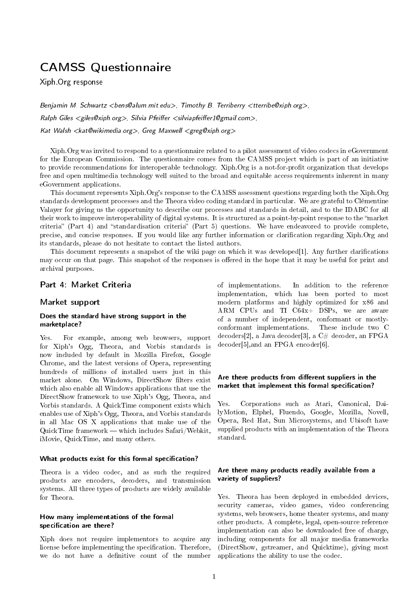# CAMSS Questionnaire

Xiph.Org response

Benjamin M. Schwartz <bens@alum.mit.edu>, Timothy B. Terriberry <tterribe@xiph.org>,  $Ralph$  Giles  $\langle$  giles@xiph.org $\rangle$ , Silvia Pfeiffer  $\langle$  silviapfeiffer 1@gmail.com $\rangle$ , Kat Walsh <kat@wikimedia.org>, Greg Maxwell <greg@xiph.org>

Xiph.Org was invited to respond to a questionnaire related to a pilot assessment of video codecs in eGovernment for the European Commission. The questionnaire comes from the CAMSS project which is part of an initiative to provide recommendations for interoperable technology. Xiph.Org is a not-for-profit organization that develops free and open multimedia technology well suited to the broad and equitable access requirements inherent in many eGovernment applications.

This document represents Xiph.Org's response to the CAMSS assessment questions regarding both the Xiph.Org standards development processes and the Theora video coding standard in particular. We are grateful to Clémentine Valayer for giving us the opportunity to describe our processes and standards in detail, and to the IDABC for all their work to improve interoperability of digital systems. It is structured as a point-by-point response to the market criteria" (Part 4) and "standardisation criteria" (Part 5) questions. We have endeavored to provide complete, precise, and concise responses. If you would like any further information or clarication regarding Xiph.Org and its standards, please do not hesitate to contact the listed authors.

This document represents a snapshot of the wiki page on which it was developed[\[1\]](#page-5-0). Any further clarifications may occur on that page. This snapshot of the responses is offered in the hope that it may be useful for print and archival purposes.

## Part 4: Market Criteria

#### Market support

#### Does the standard have strong support in the marketplace?

Yes. For example, among web browsers, support for Xiph's Ogg, Theora, and Vorbis standards is now included by default in Mozilla Firefox, Google Chrome, and the latest versions of Opera, representing hundreds of millions of installed users just in this market alone. On Windows, DirectShow filters exist which also enable all Windows applications that use the DirectShow framework to use Xiph's Ogg, Theora, and Vorbis standards. A QuickTime component exists which enables use of Xiph's Ogg, Theora, and Vorbis standards in all Mac OS X applications that make use of the  $QuickTime framework$  which includes Safari/Webkit, iMovie, QuickTime, and many others.

#### What products exist for this formal specification?

Theora is a video codec, and as such the required products are encoders, decoders, and transmission systems. All three types of products are widely available for Theora.

#### How many implementations of the formal specification are there?

Xiph does not require implementors to acquire any license before implementing the specification. Therefore, we do not have a definitive count of the number

of implementations. In addition to the reference implementation, which has been ported to most modern platforms and highly optimized for x86 and ARM CPUs and TI C64x+ DSPs, we are aware of a number of independent, conformant or mostlyconformant implementations. These include two C decoders[\[2\]](#page-5-1), a Java decoder[\[3\]](#page-5-2), a  $C#$  decoder, an FPGA decoder[\[5\]](#page-5-3),and an FPGA encoder[\[6\]](#page-5-4).

## Are there products from different suppliers in the market that implement this formal specification?

Yes. Corporations such as Atari, Canonical, DailyMotion, Elphel, Fluendo, Google, Mozilla, Novell, Opera, Red Hat, Sun Microsystems, and Ubisoft have supplied products with an implementation of the Theora standard.

## Are there many products readily available from a variety of suppliers?

Yes. Theora has been deployed in embedded devices, security cameras, video games, video conferencing systems, web browsers, home theater systems, and many other products. A complete, legal, open-source reference implementation can also be downloaded free of charge, including components for all major media frameworks (DirectShow, gstreamer, and Quicktime), giving most applications the ability to use the codec.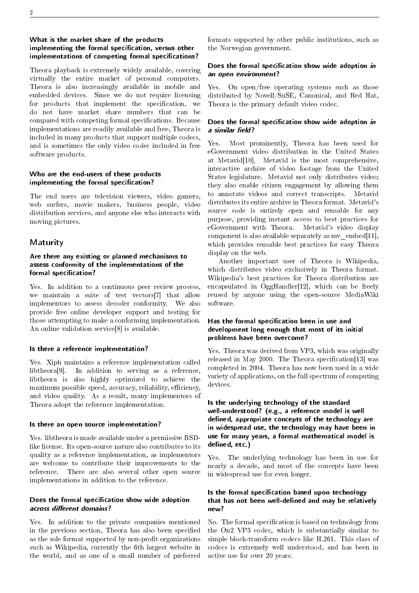## What is the market share of the products implementing the formal specification, versus other implementations of competing formal specifications?

Theora playback is extremely widely available, covering virtually the entire market of personal computers. Theora is also increasingly available in mobile and embedded devices. Since we do not require licensing for products that implement the specification, we do not have market share numbers that can be compared with competing formal specifications. Because implementations are readily available and free, Theora is included in many products that support multiple codecs, and is sometimes the only video codec included in free software products.

## Who are the end-users of these products implementing the formal specification?

The end users are television viewers, video gamers, web surfers, movie makers, business people, video distribution services, and anyone else who interacts with moving pictures.

## Maturity

## Are there any existing or planned mechanisms to assess conformity of the implementations of the formal specification?

Yes. In addition to a continuous peer review process, we maintain a suite of test vectors[\[7\]](#page-5-5) that allow implementors to assess decoder conformity. We also provide free online developer support and testing for those attempting to make a conforming implementation. An online validation service[\[8\]](#page-5-6) is available.

## Is there a reference implementation?

Yes. Xiph maintains a reference implementation called libtheora[\[9\]](#page-5-7). In addition to serving as a reference, libtheora is also highly optimized to achieve the maximum possible speed, accuracy, reliability, efficiency, and video quality. As a result, many implementors of Theora adopt the reference implementation.

## Is there an open source implementation?

Yes. libtheora is made available under a permissive BSDlike license. Its open-source nature also contributes to its quality as a reference implementation, as implementors are welcome to contribute their improvements to the reference. There are also several other open source implementations in addition to the reference.

## Does the formal specification show wide adoption across different domains?

Yes. In addition to the private companies mentioned in the previous section, Theora has also been specified as the sole format supported by non-profit organizations such as Wikipedia, currently the 6th largest website in the world, and as one of a small number of preferred formats supported by other public institutions, such as the Norwegian government.

## Does the formal specification show wide adoption in an open environment?

Yes. On open/free operating systems such as those distributed by Novell/SuSE, Canonical, and Red Hat, Theora is the primary default video codec.

## Does the formal specification show wide adoption in a similar field?

Yes. Most prominently, Theora has been used for eGovernment video distribution in the United States at Metavid[\[10\]](#page-5-8). Metavid is the most comprehensive, interactive archive of video footage from the United States legislature. Metavid not only distributes video; they also enable citizen engagement by allowing them to annotate videos and correct transcripts. Metavid distributes its entire archive in Theora format. Metavid's source code is entirely open and reusable for any purpose, providing instant access to best practices for eGovernment with Theora. Metavid's video display component is also available separately as  $mv$  embed[\[11\]](#page-5-9), which provides reusable best practices for easy Theora display on the web.

Another important user of Theora is Wikipedia, which distributes video exclusively in Theora format. Wikipedia's best practices for Theora distribution are encapsulated in  $OggHandler[12]$  $OggHandler[12]$ , which can be freely reused by anyone using the open-source MediaWiki software.

## Has the formal specification been in use and development long enough that most of its initial problems have been overcome?

Yes. Theora was derived from VP3, which was originally released in May 2000. The Theora specification [\[13\]](#page-5-11) was completed in 2004. Theora has now been used in a wide variety of applications, on the full spectrum of computing devices.

## Is the underlying technology of the standard well-understood? (e.g., a reference model is well defined, appropriate concepts of the technology are in widespread use, the technology may have been in use for many years, a formal mathematical model is defined, etc.)

Yes. The underlying technology has been in use for nearly a decade, and most of the concepts have been in widespread use for even longer.

## Is the formal specification based upon technology that has not been well-defined and may be relatively new?

No. The formal specification is based on technology from the On2 VP3 codec, which is substantially similar to simple block-transform codecs like H.261. This class of codecs is extremely well understood, and has been in active use for over 20 years.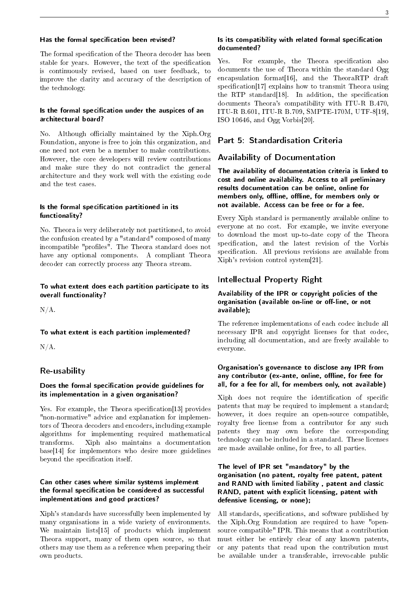#### Has the formal specification been revised?

The formal specification of the Theora decoder has been stable for years. However, the text of the specification is continuously revised, based on user feedback, to improve the clarity and accuracy of the description of the technology.

#### Is the formal specification under the auspices of an architectural board?

No. Although officially maintained by the Xiph.Org Foundation, anyone is free to join this organization, and one need not even be a member to make contributions. However, the core developers will review contributions and make sure they do not contradict the general architecture and they work well with the existing code and the test cases.

#### Is the formal specification partitioned in its functionality?

No. Theora is very deliberately not partitioned, to avoid the confusion created by a "standard" composed of many incompatible "profiles". The Theora standard does not have any optional components. A compliant Theora decoder can correctly process any Theora stream.

## To what extent does each partition participate to its overall functionality?

 $N/A$ .

To what extent is each partition implemented?

 $N/A$ .

#### Re-usability

## Does the formal specification provide guidelines for its implementation in a given organisation?

Yes. For example, the Theora specification [\[13\]](#page-5-11) provides "non-normative" advice and explanation for implementors of Theora decoders and encoders, including example algorithms for implementing required mathematical transforms. Xiph also maintains a documentation base[\[14\]](#page-5-12) for implementors who desire more guidelines beyond the specification itself.

## Can other cases where similar systems implement the formal specification be considered as successful implementations and good practices?

Xiph's standards have successfully been implemented by many organisations in a wide variety of environments. We maintain lists[\[15\]](#page-5-13) of products which implement Theora support, many of them open source, so that others may use them as a reference when preparing their own products.

#### Is its compatibility with related formal specification documented?

Yes. For example, the Theora specification also documents the use of Theora within the standard Ogg encapsulation format[\[16\]](#page-5-14), and the TheoraRTP draft specification<sup>[\[17\]](#page-5-15)</sup> explains how to transmit Theora using the RTP standard  $[18]$ . In addition, the specification documents Theora's compatibility with ITU-R B.470, ITU-R B.601, ITU-R B.709, SMPTE-170M, UTF-8[\[19\]](#page-5-17), ISO 10646, and Ogg Vorbis[\[20\]](#page-5-18).

## Part 5: Standardisation Criteria

## Availability of Documentation

The availability of documentation criteria is linked to cost and online availability. Access to all preliminary results documentation can be online, online for members only, offline, offline, for members only or not available. Access can be free or for a fee.

Every Xiph standard is permanently available online to everyone at no cost. For example, we invite everyone to download the most up-to-date copy of the Theora specification, and the latest revision of the Vorbis specification. All previous revisions are available from Xiph's revision control system[\[21\]](#page-5-19).

## Intellectual Property Right

## Availability of the IPR or copyright policies of the organisation (available on-line or off-line, or not available);

The reference implementations of each codec include all necessary IPR and copyright licenses for that codec, including all documentation, and are freely available to everyone.

## Organisation's governance to disclose any IPR from any contributor (ex-ante, online, offline, for free for all, for a fee for all, for members only, not available)

Xiph does not require the identification of specific patents that may be required to implement a standard; however, it does require an open-source compatible, royalty free license from a contributor for any such patents they may own before the corresponding technology can be included in a standard. These licenses are made available online, for free, to all parties.

## The level of IPR set "mandatory" by the organisation (no patent, royalty free patent, patent and RAND with limited liability , patent and classic RAND, patent with explicit licensing, patent with defensive licensing, or none);

All standards, specifications, and software published by the Xiph.Org Foundation are required to have "opensource compatible" IPR. This means that a contribution must either be entirely clear of any known patents, or any patents that read upon the contribution must be available under a transferable, irrevocable public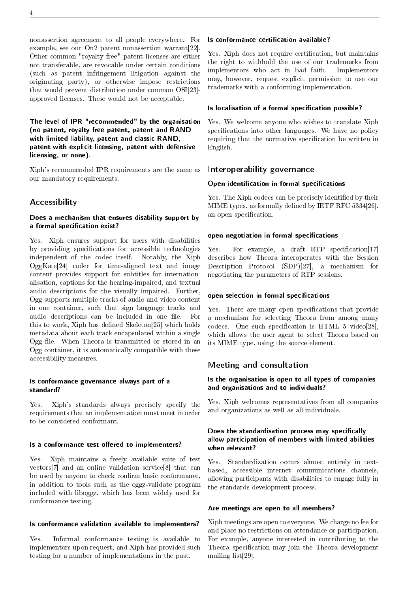nonassertion agreement to all people everywhere. For example, see our On2 patent nonassertion warrant[\[22\]](#page-5-20). Other common "royalty free" patent licenses are either not transferable, are revocable under certain conditions (such as patent infringement litigation against the originating party), or otherwise impose restrictions that would prevent distribution under common OSI[\[23\]](#page-5-21) approved licenses. These would not be acceptable.

The level of IPR "recommended" by the organisation (no patent, royalty free patent, patent and RAND with limited liability, patent and classic RAND, patent with explicit licensing, patent with defensive licensing, or none).

Xiph's recommended IPR requirements are the same as our mandatory requirements.

## **Accessibility**

#### Does a mechanism that ensures disability support by a formal specification exist?

Yes. Xiph ensures support for users with disabilities by providing specifications for accessible technologies independent of the codec itself. Notably, the Xiph OggKate[\[24\]](#page-5-22) codec for time-aligned text and image content provides support for subtitles for internationalisation, captions for the hearing-impaired, and textual audio descriptions for the visually impaired. Further, Ogg supports multiple tracks of audio and video content in one container, such that sign language tracks and audio descriptions can be included in one file. For this to work, Xiph has defined Skeleton[\[25\]](#page-5-23) which holds metadata about each track encapsulated within a single Ogg file. When Theora is transmitted or stored in an Ogg container, it is automatically compatible with these accessibility measures.

#### Is conformance governance always part of a standard?

Yes. Xiph's standards always precisely specify the requirements that an implementation must meet in order to be considered conformant.

#### Is a conformance test offered to implementers?

Yes. Xiph maintains a freely available suite of test vectors[\[7\]](#page-5-5) and an online validation service[\[8\]](#page-5-6) that can be used by anyone to check confirm basic conformance, in addition to tools such as the oggz-validate program included with liboggz, which has been widely used for conformance testing.

#### Is conformance validation available to implementers?

Yes. Informal conformance testing is available to implementors upon request, and Xiph has provided such testing for a number of implementations in the past.

#### Is conformance certification available?

Yes. Xiph does not require certification, but maintains the right to withhold the use of our trademarks from implementors who act in bad faith. Implementors may, however, request explicit permission to use our trademarks with a conforming implementation.

#### Is localisation of a formal specification possible?

Yes. We welcome anyone who wishes to translate Xiph specifications into other languages. We have no policy requiring that the normative specification be written in English.

## Interoperability governance

## Open identification in formal specifications

Yes. The Xiph codecs can be precisely identified by their MIME types, as formally defined by IETF RFC  $5334[26]$  $5334[26]$ , an open specification.

## open negotiation in formal specifications

Yes. For example, a draft RTP specification[\[17\]](#page-5-15) describes how Theora interoperates with the Session Description Protocol (SDP)[\[27\]](#page-5-25), a mechanism for negotiating the parameters of RTP sessions.

#### open selection in formal specifications

Yes. There are many open specifications that provide a mechanism for selecting Theora from among many codecs. One such specification is HTML  $5$  video[\[28\]](#page-5-26), which allows the user agent to select Theora based on its MIME type, using the source element.

## Meeting and consultation

#### Is the organisation is open to all types of companies and organisations and to individuals?

Yes. Xiph welcomes representatives from all companies and organizations as well as all individuals.

#### Does the standardisation process may specifically allow participation of members with limited abilities when relevant?

Yes. Standardization occurs almost entirely in textbased, accessible internet communications channels, allowing participants with disabilities to engage fully in the standards development process.

#### Are meetings are open to all members?

Xiph meetings are open to everyone. We charge no fee for and place no restrictions on attendance or participation. For example, anyone interested in contributing to the Theora specification may join the Theora development mailing list[\[29\]](#page-5-27).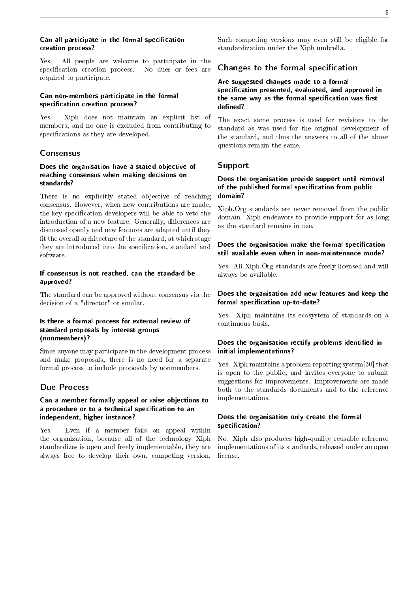#### Can all participate in the formal specification creation process?

Yes. All people are welcome to participate in the specification creation process. No dues or fees are required to participate.

## Can non-members participate in the formal specification creation process?

Yes. Xiph does not maintain an explicit list of members, and no one is excluded from contributing to specifications as they are developed.

# **Consensus**

## Does the organisation have a stated objective of reaching consensus when making decisions on standards?

There is no explicitly stated objective of reaching consensus. However, when new contributions are made, the key specification developers will be able to veto the introduction of a new feature. Generally, differences are discussed openly and new features are adapted until they t the overall architecture of the standard, at which stage they are introduced into the specification, standard and software.

## If consensus is not reached, can the standard be approved?

The standard can be approved without consensus via the decision of a "director" or similar.

## Is there a formal process for external review of standard proposals by interest groups (nonmembers)?

Since anyone may participate in the development process and make proposals, there is no need for a separate formal process to include proposals by nonmembers.

# Due Process

## Can a member formally appeal or raise objections to a procedure or to a technical specification to an independent, higher instance?

Yes. Even if a member fails an appeal within the organization, because all of the technology Xiph standardizes is open and freely implementable, they are always free to develop their own, competing version.

Such competing versions may even still be eligible for standardization under the Xiph umbrella.

## Changes to the formal specification

Are suggested changes made to a formal specification presented, evaluated, and approved in the same way as the formal specification was first defined?

The exact same process is used for revisions to the standard as was used for the original development of the standard, and thus the answers to all of the above questions remain the same.

## Support

## Does the organisation provide support until removal of the published formal specification from public domain?

Xiph.Org standards are never removed from the public domain. Xiph endeavors to provide support for as long as the standard remains in use.

## Does the organisation make the formal specification still available even when in non-maintenance mode?

Yes. All Xiph.Org standards are freely licensed and will always be available.

#### Does the organisation add new features and keep the formal specification up-to-date?

Yes. Xiph maintains its ecosystem of standards on a continuous basis.

## Does the organisation rectify problems identified in initial implementations?

Yes. Xiph maintains a problem reporting system[\[30\]](#page-5-28) that is open to the public, and invites everyone to submit suggestions for improvements. Improvements are made both to the standards documents and to the reference implementations.

## Does the organisation only create the formal specification?

No. Xiph also produces high-quality reusable reference implementations of its standards, released under an open license.